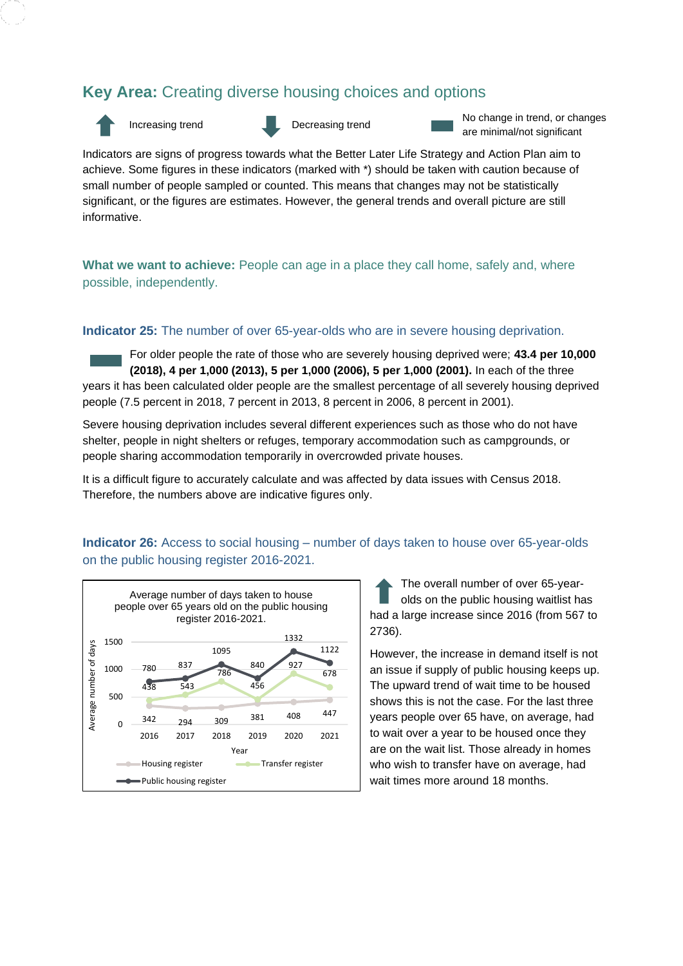# **Key Area:** Creating diverse housing choices and options





Increasing trend Decreasing trend No change in trend, or changes are minimal/not significant

Indicators are signs of progress towards what the Better Later Life Strategy and Action Plan aim to achieve. Some figures in these indicators (marked with \*) should be taken with caution because of small number of people sampled or counted. This means that changes may not be statistically significant, or the figures are estimates. However, the general trends and overall picture are still informative.

What we want to achieve: People can age in a place they call home, safely and, where possible, independently.

#### **Indicator 25:** The number of over 65-year-olds who are in severe housing deprivation.

For older people the rate of those who are severely housing deprived were; **43.4 per 10,000 (2018), 4 per 1,000 (2013), 5 per 1,000 (2006), 5 per 1,000 (2001).** In each of the three years it has been calculated older people are the smallest percentage of all severely housing deprived people (7.5 percent in 2018, 7 percent in 2013, 8 percent in 2006, 8 percent in 2001).

Severe housing deprivation includes several different experiences such as those who do not have shelter, people in night shelters or refuges, temporary accommodation such as campgrounds, or people sharing accommodation temporarily in overcrowded private houses.

It is a difficult figure to accurately calculate and was affected by data issues with Census 2018. Therefore, the numbers above are indicative figures only.

## **Indicator 26:** Access to social housing – number of days taken to house over 65-year-olds on the public housing register 2016-2021.



The overall number of over 65-yearolds on the public housing waitlist has had a large increase since 2016 (from 567 to 2736).

However, the increase in demand itself is not an issue if supply of public housing keeps up. The upward trend of wait time to be housed shows this is not the case. For the last three years people over 65 have, on average, had to wait over a year to be housed once they are on the wait list. Those already in homes who wish to transfer have on average, had wait times more around 18 months.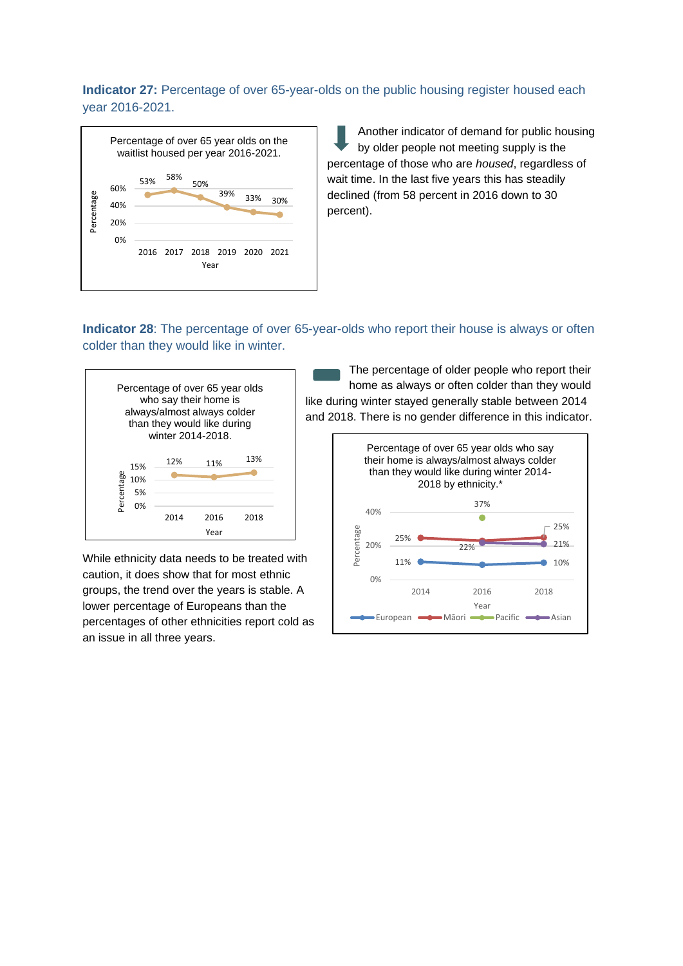# **Indicator 27:** Percentage of over 65-year-olds on the public housing register housed each year 2016-2021.



Another indicator of demand for public housing by older people not meeting supply is the percentage of those who are *housed*, regardless of wait time. In the last five years this has steadily declined (from 58 percent in 2016 down to 30 percent).

# **Indicator 28**: The percentage of over 65-year-olds who report their house is always or often colder than they would like in winter.



While ethnicity data needs to be treated with caution, it does show that for most ethnic groups, the trend over the years is stable. A lower percentage of Europeans than the percentages of other ethnicities report cold as an issue in all three years.

The percentage of older people who report their home as always or often colder than they would like during winter stayed generally stable between 2014 and 2018. There is no gender difference in this indicator.

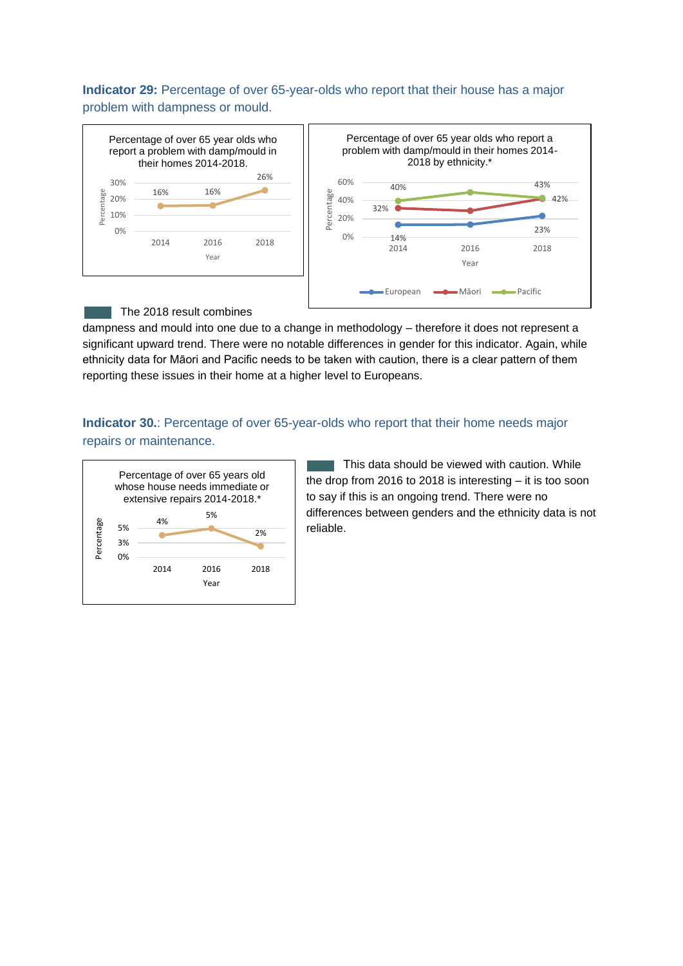### **Indicator 29:** Percentage of over 65-year-olds who report that their house has a major problem with dampness or mould.



#### The 2018 result combines

dampness and mould into one due to a change in methodology – therefore it does not represent a significant upward trend. There were no notable differences in gender for this indicator. Again, while ethnicity data for Māori and Pacific needs to be taken with caution, there is a clear pattern of them reporting these issues in their home at a higher level to Europeans.

# **Indicator 30.**: Percentage of over 65-year-olds who report that their home needs major repairs or maintenance.



This data should be viewed with caution. While the drop from 2016 to 2018 is interesting – it is too soon to say if this is an ongoing trend. There were no differences between genders and the ethnicity data is not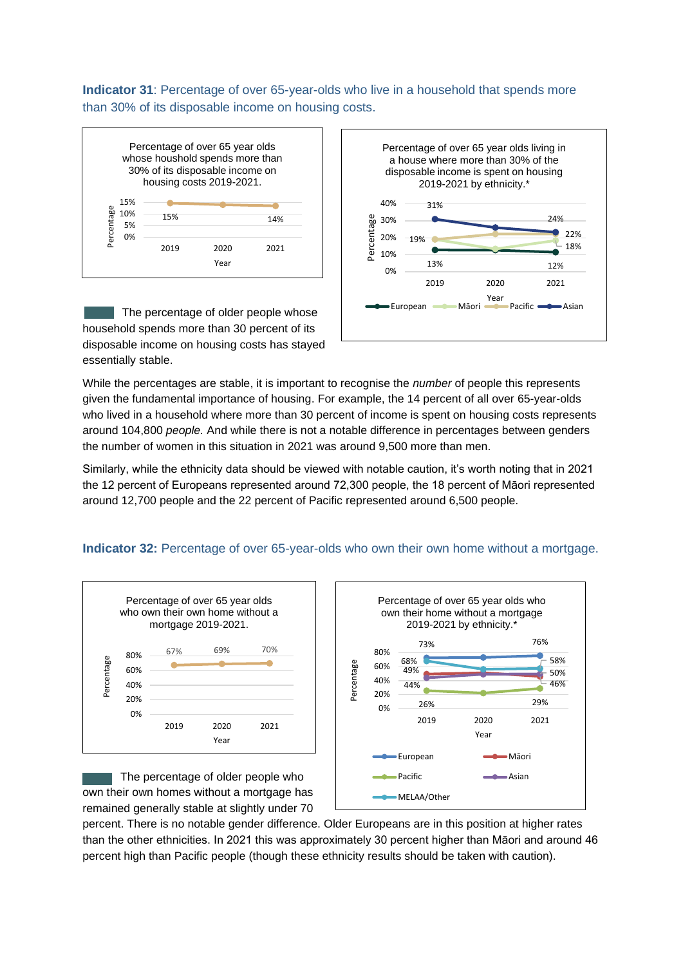**Indicator 31**: Percentage of over 65-year-olds who live in a household that spends more than 30% of its disposable income on housing costs.



The percentage of older people whose household spends more than 30 percent of its disposable income on housing costs has stayed essentially stable.



While the percentages are stable, it is important to recognise the *number* of people this represents given the fundamental importance of housing. For example, the 14 percent of all over 65-year-olds who lived in a household where more than 30 percent of income is spent on housing costs represents around 104,800 *people.* And while there is not a notable difference in percentages between genders the number of women in this situation in 2021 was around 9,500 more than men.

Similarly, while the ethnicity data should be viewed with notable caution, it's worth noting that in 2021 the 12 percent of Europeans represented around 72,300 people, the 18 percent of Māori represented around 12,700 people and the 22 percent of Pacific represented around 6,500 people.

#### **Indicator 32:** Percentage of over 65-year-olds who own their own home without a mortgage.



The percentage of older people who own their own homes without a mortgage has remained generally stable at slightly under 70



percent. There is no notable gender difference. Older Europeans are in this position at higher rates than the other ethnicities. In 2021 this was approximately 30 percent higher than Māori and around 46 percent high than Pacific people (though these ethnicity results should be taken with caution).